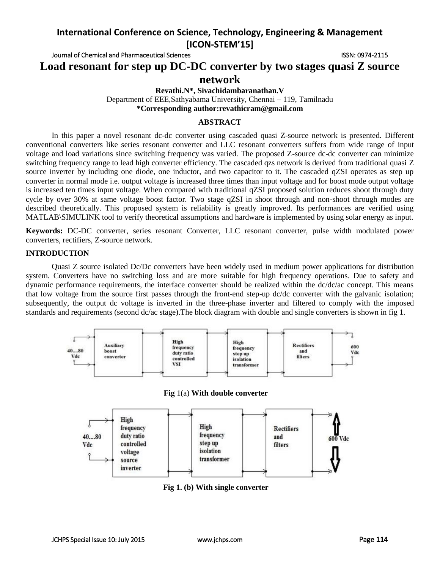Journal of Chemical and Pharmaceutical Sciences **ISSN: 0974-2115** ISSN: 0974-2115

**Load resonant for step up DC-DC converter by two stages quasi Z source network**

**Revathi.N\*, Sivachidambaranathan.V**

Department of EEE,Sathyabama University, Chennai – 119, Tamilnadu **\*Corresponding author:revathicram@gmail.com**

#### **ABSTRACT**

In this paper a novel resonant dc-dc converter using cascaded quasi Z-source network is presented. Different conventional converters like series resonant converter and LLC resonant converters suffers from wide range of input voltage and load variations since switching frequency was varied. The proposed Z-source dc-dc converter can minimize switching frequency range to lead high converter efficiency. The cascaded qzs network is derived from traditional quasi Z source inverter by including one diode, one inductor, and two capacitor to it. The cascaded qZSI operates as step up converter in normal mode i.e. output voltage is increased three times than input voltage and for boost mode output voltage is increased ten times input voltage. When compared with traditional qZSI proposed solution reduces shoot through duty cycle by over 30% at same voltage boost factor. Two stage qZSI in shoot through and non-shoot through modes are described theoretically. This proposed system is reliability is greatly improved. Its performances are verified using MATLAB\SIMULINK tool to verify theoretical assumptions and hardware is implemented by using solar energy as input.

**Keywords:** DC-DC converter, series resonant Converter, LLC resonant converter, pulse width modulated power converters, rectifiers, Z-source network.

### **INTRODUCTION**

Quasi Z source isolated Dc/Dc converters have been widely used in medium power applications for distribution system. Converters have no switching loss and are more suitable for high frequency operations. Due to safety and dynamic performance requirements, the interface converter should be realized within the dc/dc/ac concept. This means that low voltage from the source first passes through the front-end step-up dc/dc converter with the galvanic isolation; subsequently, the output dc voltage is inverted in the three-phase inverter and filtered to comply with the imposed standards and requirements (second dc/ac stage). The block diagram with double and single converters is shown in fig 1.



**Fig 1. (b) With single converter**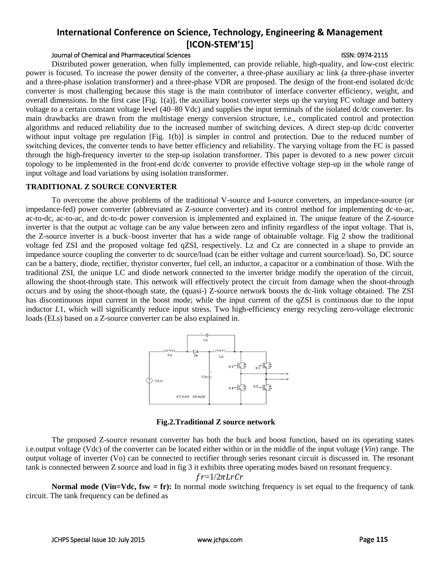## Journal of Chemical and Pharmaceutical Sciences ISSN: 0974-2115

Distributed power generation, when fully implemented, can provide reliable, high-quality, and low-cost electric power is focused. To increase the power density of the converter, a three-phase auxiliary ac link (a three-phase inverter and a three-phase isolation transformer) and a three-phase VDR are proposed. The design of the front-end isolated dc/dc converter is most challenging because this stage is the main contributor of interface converter efficiency, weight, and overall dimensions. In the first case [Fig. 1(a)], the auxiliary boost converter steps up the varying FC voltage and battery voltage to a certain constant voltage level (40–80 Vdc) and supplies the input terminals of the isolated dc/dc converter. Its main drawbacks are drawn from the multistage energy conversion structure, i.e., complicated control and protection algorithms and reduced reliability due to the increased number of switching devices. A direct step-up dc/dc converter without input voltage pre regulation [Fig. 1(b)] is simpler in control and protection. Due to the reduced number of switching devices, the converter tends to have better efficiency and reliability. The varying voltage from the FC is passed through the high-frequency inverter to the step-up isolation transformer. This paper is devoted to a new power circuit topology to be implemented in the front-end dc/dc converter to provide effective voltage step-up in the whole range of input voltage and load variations by using isolation transformer.

#### **TRADITIONAL Z SOURCE CONVERTER**

To overcome the above problems of the traditional V-source and I-source converters, an impedance-source (or impedance-fed) power converter (abbreviated as Z-source converter) and its control method for implementing dc-to-ac, ac-to-dc, ac-to-ac, and dc-to-dc power conversion is implemented and explained in. The unique feature of the Z-source inverter is that the output ac voltage can be any value between zero and infinity regardless of the input voltage. That is, the Z-source inverter is a buck–boost inverter that has a wide range of obtainable voltage. Fig 2 show the traditional voltage fed ZSI and the proposed voltage fed qZSI, respectively. Lz and Cz are connected in a shape to provide an impedance source coupling the converter to dc source/load (can be either voltage and current source/load). So, DC source can be a battery, diode, rectifier, thyristor converter, fuel cell, an inductor, a capacitor or a combination of those. With the traditional ZSI, the unique LC and diode network connected to the inverter bridge modify the operation of the circuit, allowing the shoot-through state. This network will effectively protect the circuit from damage when the shoot-through occurs and by using the shoot-though state, the (quasi-) Z-source network boosts the dc-link voltage obtained. The ZSI has discontinuous input current in the boost mode; while the input current of the qZSI is continuous due to the input inductor *L*1, which will significantly reduce input stress. Two high-efficiency energy recycling zero-voltage electronic loads (ELs) based on a Z-source converter can be also explained in.



**Fig.2.Traditional Z source network**

The proposed Z-source resonant converter has both the buck and boost function, based on its operating states i.e.output voltage (Vdc) of the converter can be located either within or in the middle of the input voltage (*Vin*) range. The output voltage of inverter (Vo) can be connected to rectifier through series resonant circuit is discussed in. The resonant tank is connected between Z source and load in fig 3 it exhibits three operating modes based on resonant frequency.

$$
fr = 1/2\pi LrCr
$$

**Normal mode (Vin=Vdc, fsw = fr):** In normal mode switching frequency is set equal to the frequency of tank circuit. The tank frequency can be defined as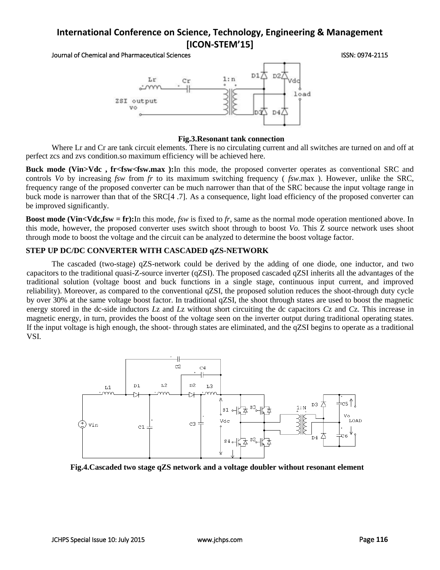Journal of Chemical and Pharmaceutical Sciences ISSN: 0974-2115



#### **Fig.3.Resonant tank connection**

Where Lr and Cr are tank circuit elements. There is no circulating current and all switches are turned on and off at perfect zcs and zvs condition.so maximum efficiency will be achieved here.

**Buck mode (Vin>Vdc , fr<fsw<fsw.max ):**In this mode, the proposed converter operates as conventional SRC and controls *Vo* by increasing *fsw* from *fr* to its maximum switching frequency ( *fsw*.max ). However, unlike the SRC, frequency range of the proposed converter can be much narrower than that of the SRC because the input voltage range in buck mode is narrower than that of the SRC[4 .7]. As a consequence, light load efficiency of the proposed converter can be improved significantly.

**Boost mode (Vin<Vdc,fsw = fr):**In this mode, *fsw* is fixed to *fr*, same as the normal mode operation mentioned above. In this mode, however, the proposed converter uses switch shoot through to boost *Vo.* This Z source network uses shoot through mode to boost the voltage and the circuit can be analyzed to determine the boost voltage factor.

## **STEP UP DC/DC CONVERTER WITH CASCADED qZS-NETWORK**

The cascaded (two-stage) qZS-network could be derived by the adding of one diode, one inductor, and two capacitors to the traditional quasi-Z-source inverter (qZSI). The proposed cascaded qZSI inherits all the advantages of the traditional solution (voltage boost and buck functions in a single stage, continuous input current, and improved reliability). Moreover, as compared to the conventional qZSI, the proposed solution reduces the shoot-through duty cycle by over 30% at the same voltage boost factor. In traditional qZSI, the shoot through states are used to boost the magnetic energy stored in the dc-side inductors *L*z and *L*z without short circuiting the dc capacitors *C*z and *C*z. This increase in magnetic energy, in turn, provides the boost of the voltage seen on the inverter output during traditional operating states. If the input voltage is high enough, the shoot- through states are eliminated, and the qZSI begins to operate as a traditional VSI.



**Fig.4.Cascaded two stage qZS network and a voltage doubler without resonant element**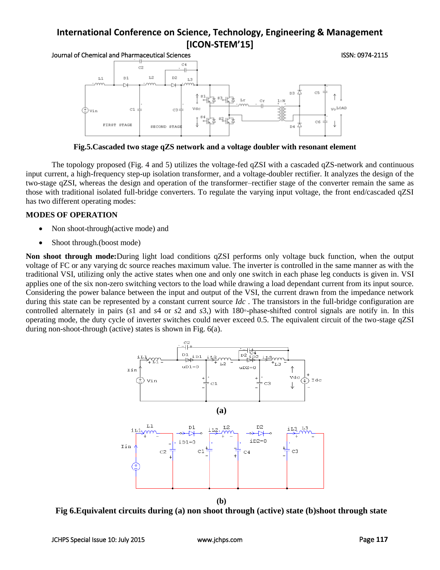Journal of Chemical and Pharmaceutical Sciences ISSN: 0974-2115



**Fig.5.Cascaded two stage qZS network and a voltage doubler with resonant element**

The topology proposed (Fig. 4 and 5) utilizes the voltage-fed qZSI with a cascaded qZS-network and continuous input current, a high-frequency step-up isolation transformer, and a voltage-doubler rectifier. It analyzes the design of the two-stage qZSI, whereas the design and operation of the transformer–rectifier stage of the converter remain the same as those with traditional isolated full-bridge converters. To regulate the varying input voltage, the front end/cascaded qZSI has two different operating modes:

## **MODES OF OPERATION**

- Non shoot-through(active mode) and
- Shoot through.(boost mode)

**Non shoot through mode:**During light load conditions qZSI performs only voltage buck function, when the output voltage of FC or any varying dc source reaches maximum value. The inverter is controlled in the same manner as with the traditional VSI, utilizing only the active states when one and only one switch in each phase leg conducts is given in. VSI applies one of the six non-zero switching vectors to the load while drawing a load dependant current from its input source. Considering the power balance between the input and output of the VSI, the current drawn from the impedance network during this state can be represented by a constant current source *Idc* . The transistors in the full-bridge configuration are controlled alternately in pairs (*s*1 and *s*4 or *s*2 and *s*3,) with 180*◦*-phase-shifted control signals are notify in. In this operating mode, the duty cycle of inverter switches could never exceed 0.5. The equivalent circuit of the two-stage qZSI during non-shoot-through (active) states is shown in Fig. 6(a).



**Fig 6.Equivalent circuits during (a) non shoot through (active) state (b)shoot through state**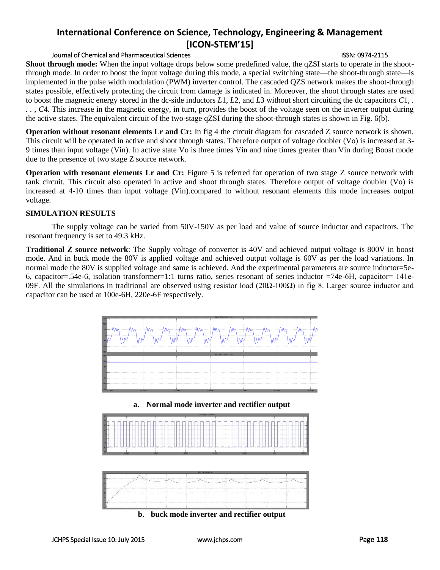## Journal of Chemical and Pharmaceutical Sciences ISSN: 0974-2115

**Shoot through mode:** When the input voltage drops below some predefined value, the qZSI starts to operate in the shootthrough mode. In order to boost the input voltage during this mode, a special switching state—the shoot-through state—is implemented in the pulse width modulation (PWM) inverter control. The cascaded QZS network makes the shoot-through states possible, effectively protecting the circuit from damage is indicated in. Moreover, the shoot through states are used to boost the magnetic energy stored in the dc-side inductors *L*1, *L*2, and *L*3 without short circuiting the dc capacitors *C*1*, . . . , C*4. This increase in the magnetic energy, in turn, provides the boost of the voltage seen on the inverter output during the active states. The equivalent circuit of the two-stage qZSI during the shoot-through states is shown in Fig. 6(b).

**Operation without resonant elements Lr and Cr:** In fig 4 the circuit diagram for cascaded Z source network is shown. This circuit will be operated in active and shoot through states. Therefore output of voltage doubler (Vo) is increased at 3- 9 times than input voltage (Vin). In active state Vo is three times Vin and nine times greater than Vin during Boost mode due to the presence of two stage Z source network.

**Operation with resonant elements Lr and Cr:** Figure 5 is referred for operation of two stage Z source network with tank circuit. This circuit also operated in active and shoot through states. Therefore output of voltage doubler (Vo) is increased at 4-10 times than input voltage (Vin).compared to without resonant elements this mode increases output voltage.

## **SIMULATION RESULTS**

The supply voltage can be varied from 50V-150V as per load and value of source inductor and capacitors. The resonant frequency is set to 49.3 kHz.

**Traditional Z source network**: The Supply voltage of converter is 40V and achieved output voltage is 800V in boost mode. And in buck mode the 80V is applied voltage and achieved output voltage is 60V as per the load variations. In normal mode the 80V is supplied voltage and same is achieved. And the experimental parameters are source inductor=5e-6, capacitor=.54e-6, isolation transformer=1:1 turns ratio, series resonant of series inductor =74e-6Η, capacitor= 141e-09F. All the simulations in traditional are observed using resistor load (20Ω-100Ω) in fig 8. Larger source inductor and capacitor can be used at 100e-6H, 220e-6F respectively.



**b. buck mode inverter and rectifier output**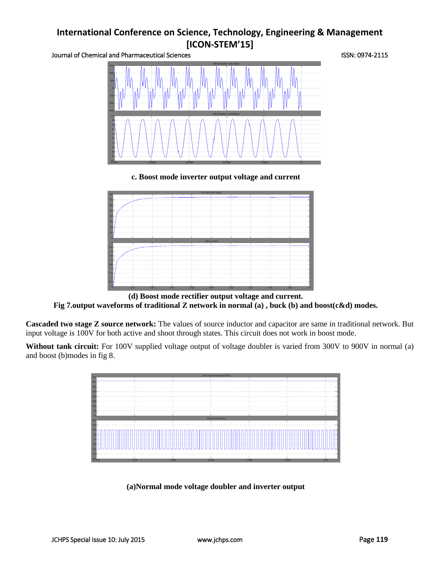Journal of Chemical and Pharmaceutical Sciences **ISSN: 0974-2115** ISSN: 0974-2115



**c. Boost mode inverter output voltage and current**



**(d) Boost mode rectifier output voltage and current. Fig 7.output waveforms of traditional Z network in normal (a) , buck (b) and boost(c&d) modes.** 

**Cascaded two stage Z source network:** The values of source inductor and capacitor are same in traditional network. But input voltage is 100V for both active and shoot through states. This circuit does not work in boost mode.

Without tank circuit: For 100V supplied voltage output of voltage doubler is varied from 300V to 900V in normal (a) and boost (b)modes in fig 8.



**(a)Normal mode voltage doubler and inverter output**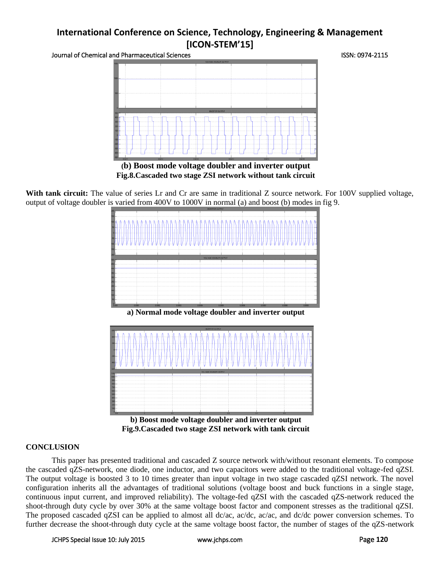Journal of Chemical and Pharmaceutical Sciences **ISSN: 0974-2115** ISSN: 0974-2115



**(b) Boost mode voltage doubler and inverter output Fig.8.Cascaded two stage ZSI network without tank circuit** 

With tank circuit: The value of series Lr and Cr are same in traditional Z source network. For 100V supplied voltage, output of voltage doubler is varied from 400V to 1000V in normal (a) and boost (b) modes in fig 9.



**a) Normal mode voltage doubler and inverter output** 



**b) Boost mode voltage doubler and inverter output Fig.9.Cascaded two stage ZSI network with tank circuit** 

## **CONCLUSION**

This paper has presented traditional and cascaded Z source network with/without resonant elements. To compose the cascaded qZS-network, one diode, one inductor, and two capacitors were added to the traditional voltage-fed qZSI. The output voltage is boosted 3 to 10 times greater than input voltage in two stage cascaded qZSI network. The novel configuration inherits all the advantages of traditional solutions (voltage boost and buck functions in a single stage, continuous input current, and improved reliability). The voltage-fed qZSI with the cascaded qZS-network reduced the shoot-through duty cycle by over 30% at the same voltage boost factor and component stresses as the traditional qZSI. The proposed cascaded qZSI can be applied to almost all dc/ac, ac/dc, ac/ac, and dc/dc power conversion schemes. To further decrease the shoot-through duty cycle at the same voltage boost factor, the number of stages of the qZS-network